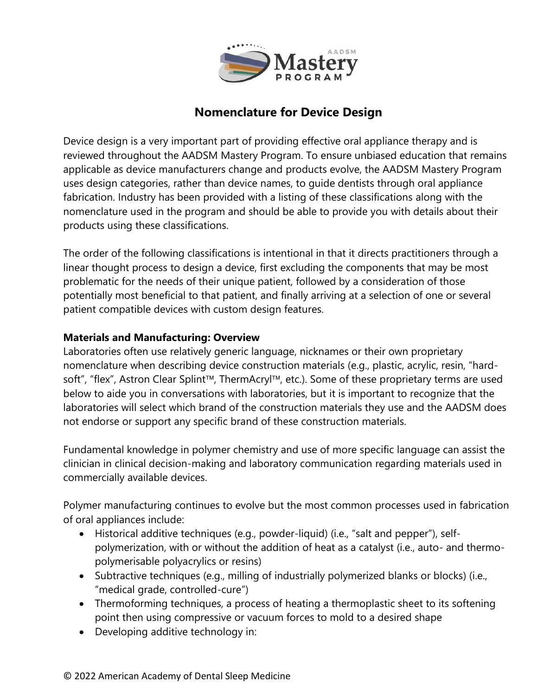

# **Nomenclature for Device Design**

Device design is a very important part of providing effective oral appliance therapy and is reviewed throughout the AADSM Mastery Program. To ensure unbiased education that remains applicable as device manufacturers change and products evolve, the AADSM Mastery Program uses design categories, rather than device names, to guide dentists through oral appliance fabrication. Industry has been provided with a listing of these classifications along with the nomenclature used in the program and should be able to provide you with details about their products using these classifications.

The order of the following classifications is intentional in that it directs practitioners through a linear thought process to design a device, first excluding the components that may be most problematic for the needs of their unique patient, followed by a consideration of those potentially most beneficial to that patient, and finally arriving at a selection of one or several patient compatible devices with custom design features.

#### **Materials and Manufacturing: Overview**

Laboratories often use relatively generic language, nicknames or their own proprietary nomenclature when describing device construction materials (e.g., plastic, acrylic, resin, "hardsoft", "flex", Astron Clear Splint™, ThermAcryl™, etc.). Some of these proprietary terms are used below to aide you in conversations with laboratories, but it is important to recognize that the laboratories will select which brand of the construction materials they use and the AADSM does not endorse or support any specific brand of these construction materials.

Fundamental knowledge in polymer chemistry and use of more specific language can assist the clinician in clinical decision-making and laboratory communication regarding materials used in commercially available devices.

Polymer manufacturing continues to evolve but the most common processes used in fabrication of oral appliances include:

- Historical additive techniques (e.g., powder-liquid) (i.e., "salt and pepper"), selfpolymerization, with or without the addition of heat as a catalyst (i.e., auto- and thermopolymerisable polyacrylics or resins)
- Subtractive techniques (e.g., milling of industrially polymerized blanks or blocks) (i.e., "medical grade, controlled-cure")
- Thermoforming techniques, a process of heating a thermoplastic sheet to its softening point then using compressive or vacuum forces to mold to a desired shape
- Developing additive technology in: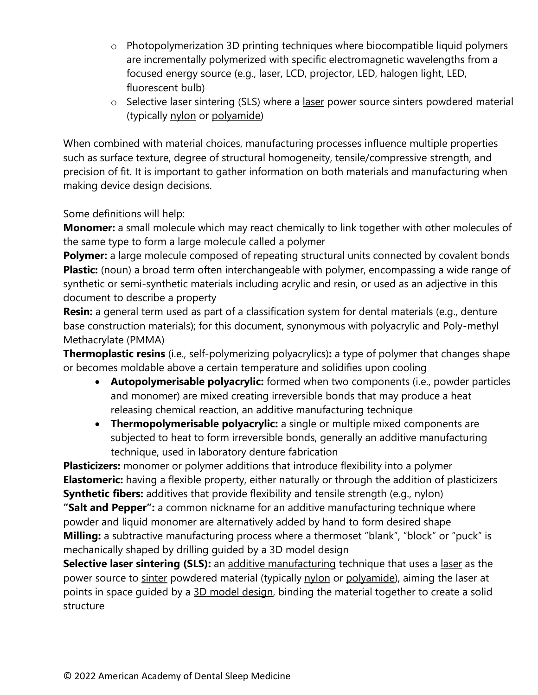- o Photopolymerization 3D printing techniques where biocompatible liquid polymers are incrementally polymerized with specific electromagnetic wavelengths from a focused energy source (e.g., laser, LCD, projector, LED, halogen light, LED, fluorescent bulb)
- o Selective laser sintering (SLS) where a [laser](https://en.wikipedia.org/wiki/Laser) power source sinters powdered material (typically [nylon](https://en.wikipedia.org/wiki/Nylon) or [polyamide\)](https://en.wikipedia.org/wiki/Polyamide)

When combined with material choices, manufacturing processes influence multiple properties such as surface texture, degree of structural homogeneity, tensile/compressive strength, and precision of fit. It is important to gather information on both materials and manufacturing when making device design decisions.

Some definitions will help:

**Monomer:** a small molecule which may react chemically to link together with other molecules of the same type to form a large molecule called a polymer

**Polymer:** a large molecule composed of repeating structural units connected by covalent bonds **Plastic:** (noun) a broad term often interchangeable with polymer, encompassing a wide range of synthetic or semi-synthetic materials including acrylic and resin, or used as an adjective in this document to describe a property

**Resin:** a general term used as part of a classification system for dental materials (e.g., denture base construction materials); for this document, synonymous with polyacrylic and Poly-methyl Methacrylate (PMMA)

**Thermoplastic resins** (i.e., self-polymerizing polyacrylics)**:** a type of polymer that changes shape or becomes moldable above a certain temperature and solidifies upon cooling

- **Autopolymerisable polyacrylic:** formed when two components (i.e., powder particles and monomer) are mixed creating irreversible bonds that may produce a heat releasing chemical reaction, an additive manufacturing technique
- **Thermopolymerisable polyacrylic:** a single or multiple mixed components are subjected to heat to form irreversible bonds, generally an additive manufacturing technique, used in laboratory denture fabrication

**Plasticizers:** monomer or polymer additions that introduce flexibility into a polymer **Elastomeric:** having a flexible property, either naturally or through the addition of plasticizers **Synthetic fibers:** additives that provide flexibility and tensile strength (e.g., nylon)

**"Salt and Pepper":** a common nickname for an additive manufacturing technique where powder and liquid monomer are alternatively added by hand to form desired shape **Milling:** a subtractive manufacturing process where a thermoset "blank", "block" or "puck" is mechanically shaped by drilling guided by a 3D model design

**Selective laser sintering (SLS):** an [additive manufacturing](https://en.wikipedia.org/wiki/Additive_manufacturing) technique that uses a [laser](https://en.wikipedia.org/wiki/Laser) as the power source to [sinter](https://en.wikipedia.org/wiki/Sintering) powdered material (typically [nylon](https://en.wikipedia.org/wiki/Nylon) or [polyamide\)](https://en.wikipedia.org/wiki/Polyamide), aiming the laser at points in space guided by a [3D model](https://en.wikipedia.org/wiki/3D_modeling) design, binding the material together to create a solid structure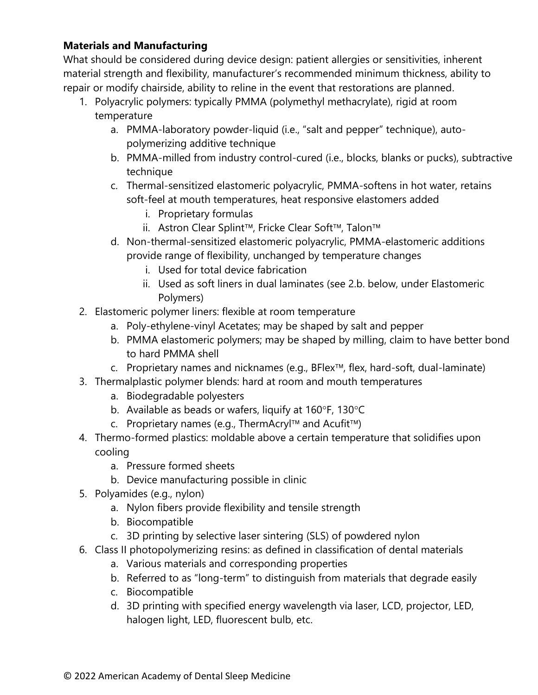### **Materials and Manufacturing**

What should be considered during device design: patient allergies or sensitivities, inherent material strength and flexibility, manufacturer's recommended minimum thickness, ability to repair or modify chairside, ability to reline in the event that restorations are planned.

- 1. Polyacrylic polymers: typically PMMA (polymethyl methacrylate), rigid at room temperature
	- a. PMMA-laboratory powder-liquid (i.e., "salt and pepper" technique), autopolymerizing additive technique
	- b. PMMA-milled from industry control-cured (i.e., blocks, blanks or pucks), subtractive technique
	- c. Thermal-sensitized elastomeric polyacrylic, PMMA-softens in hot water, retains soft-feel at mouth temperatures, heat responsive elastomers added
		- i. Proprietary formulas
		- ii. Astron Clear Splint<sup>™</sup>, Fricke Clear Soft™, Talon<sup>™</sup>
	- d. Non-thermal-sensitized elastomeric polyacrylic, PMMA-elastomeric additions provide range of flexibility, unchanged by temperature changes
		- i. Used for total device fabrication
		- ii. Used as soft liners in dual laminates (see 2.b. below, under Elastomeric Polymers)
- 2. Elastomeric polymer liners: flexible at room temperature
	- a. Poly-ethylene-vinyl Acetates; may be shaped by salt and pepper
	- b. PMMA elastomeric polymers; may be shaped by milling, claim to have better bond to hard PMMA shell
	- $c.$  Proprietary names and nicknames (e.g., BFlex<sup>TM</sup>, flex, hard-soft, dual-laminate)
- 3. Thermalplastic polymer blends: hard at room and mouth temperatures
	- a. Biodegradable polyesters
	- b. Available as beads or wafers, liquify at  $160^\circ$ F,  $130^\circ$ C
	- c. Proprietary names (e.g., ThermAcryl<sup>TM</sup> and Acufit<sup>TM</sup>)
- 4. Thermo-formed plastics: moldable above a certain temperature that solidifies upon cooling
	- a. Pressure formed sheets
	- b. Device manufacturing possible in clinic
- 5. Polyamides (e.g., nylon)
	- a. Nylon fibers provide flexibility and tensile strength
	- b. Biocompatible
	- c. 3D printing by selective laser sintering (SLS) of powdered nylon
- 6. Class II photopolymerizing resins: as defined in classification of dental materials
	- a. Various materials and corresponding properties
	- b. Referred to as "long-term" to distinguish from materials that degrade easily
	- c. Biocompatible
	- d. 3D printing with specified energy wavelength via laser, LCD, projector, LED, halogen light, LED, fluorescent bulb, etc.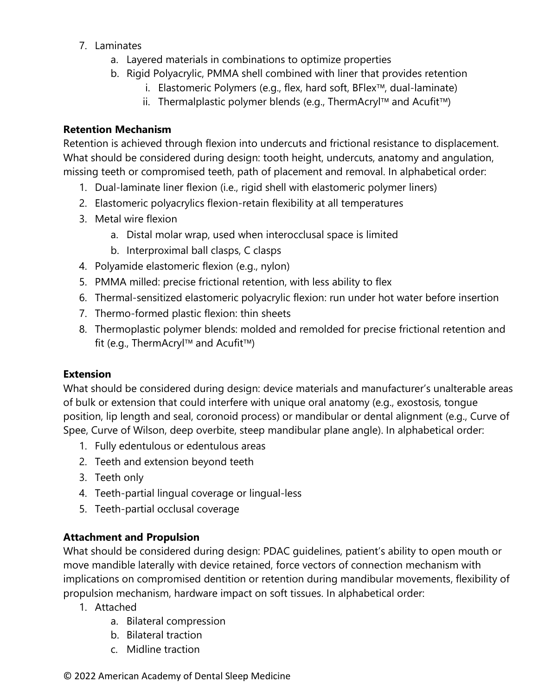- 7. Laminates
	- a. Layered materials in combinations to optimize properties
	- b. Rigid Polyacrylic, PMMA shell combined with liner that provides retention
		- i. Elastomeric Polymers (e.g., flex, hard soft,  $BFlex^{\pi}$ , dual-laminate)
		- ii. Thermalplastic polymer blends (e.g., ThermAcryl<sup>TM</sup> and Acufit<sup>TM</sup>)

### **Retention Mechanism**

Retention is achieved through flexion into undercuts and frictional resistance to displacement. What should be considered during design: tooth height, undercuts, anatomy and angulation, missing teeth or compromised teeth, path of placement and removal. In alphabetical order:

- 1. Dual-laminate liner flexion (i.e., rigid shell with elastomeric polymer liners)
- 2. Elastomeric polyacrylics flexion-retain flexibility at all temperatures
- 3. Metal wire flexion
	- a. Distal molar wrap, used when interocclusal space is limited
	- b. Interproximal ball clasps, C clasps
- 4. Polyamide elastomeric flexion (e.g., nylon)
- 5. PMMA milled: precise frictional retention, with less ability to flex
- 6. Thermal-sensitized elastomeric polyacrylic flexion: run under hot water before insertion
- 7. Thermo-formed plastic flexion: thin sheets
- 8. Thermoplastic polymer blends: molded and remolded for precise frictional retention and fit (e.g., ThermAcryl<sup>TM</sup> and Acufit<sup>TM</sup>)

## **Extension**

What should be considered during design: device materials and manufacturer's unalterable areas of bulk or extension that could interfere with unique oral anatomy (e.g., exostosis, tongue position, lip length and seal, coronoid process) or mandibular or dental alignment (e.g., Curve of Spee, Curve of Wilson, deep overbite, steep mandibular plane angle). In alphabetical order:

- 1. Fully edentulous or edentulous areas
- 2. Teeth and extension beyond teeth
- 3. Teeth only
- 4. Teeth-partial lingual coverage or lingual-less
- 5. Teeth-partial occlusal coverage

### **Attachment and Propulsion**

What should be considered during design: PDAC guidelines, patient's ability to open mouth or move mandible laterally with device retained, force vectors of connection mechanism with implications on compromised dentition or retention during mandibular movements, flexibility of propulsion mechanism, hardware impact on soft tissues. In alphabetical order:

- 1. Attached
	- a. Bilateral compression
	- b. Bilateral traction
	- c. Midline traction

#### © 2022 American Academy of Dental Sleep Medicine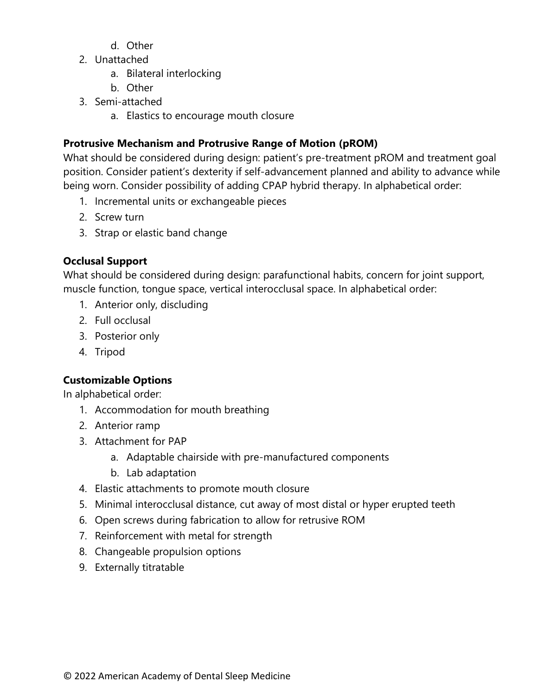- d. Other
- 2. Unattached
	- a. Bilateral interlocking
	- b. Other
- 3. Semi-attached
	- a. Elastics to encourage mouth closure

## **Protrusive Mechanism and Protrusive Range of Motion (pROM)**

What should be considered during design: patient's pre-treatment pROM and treatment goal position. Consider patient's dexterity if self-advancement planned and ability to advance while being worn. Consider possibility of adding CPAP hybrid therapy. In alphabetical order:

- 1. Incremental units or exchangeable pieces
- 2. Screw turn
- 3. Strap or elastic band change

# **Occlusal Support**

What should be considered during design: parafunctional habits, concern for joint support, muscle function, tongue space, vertical interocclusal space. In alphabetical order:

- 1. Anterior only, discluding
- 2. Full occlusal
- 3. Posterior only
- 4. Tripod

# **Customizable Options**

In alphabetical order:

- 1. Accommodation for mouth breathing
- 2. Anterior ramp
- 3. Attachment for PAP
	- a. Adaptable chairside with pre-manufactured components
	- b. Lab adaptation
- 4. Elastic attachments to promote mouth closure
- 5. Minimal interocclusal distance, cut away of most distal or hyper erupted teeth
- 6. Open screws during fabrication to allow for retrusive ROM
- 7. Reinforcement with metal for strength
- 8. Changeable propulsion options
- 9. Externally titratable